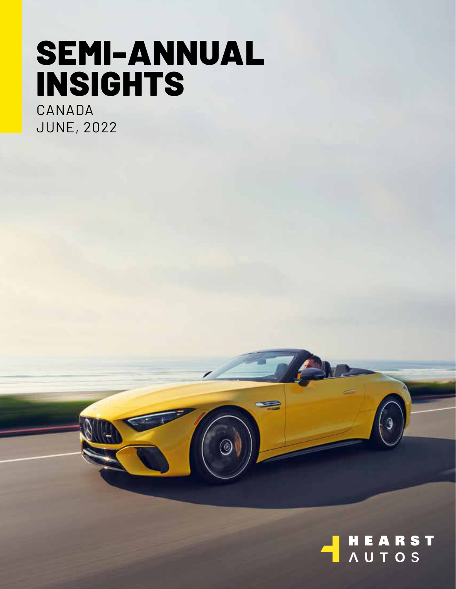# SEMI-ANNUAL INSIGHTS

۵

CANADA JUNE, 2022

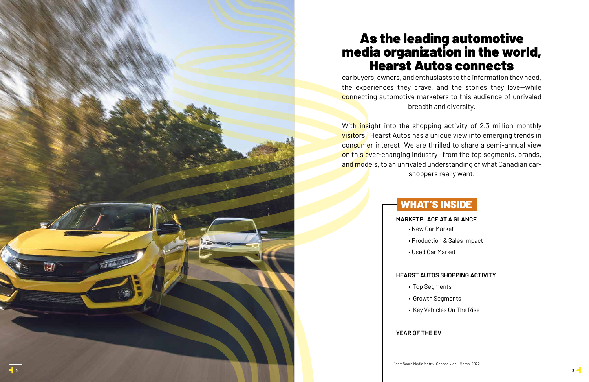# WHAT'S INSIDE

**MARKETPLACE AT A GLANCE** • New Car Market • Production & Sales Impact

- 
- 
- Used Car Market

## **HEARST AUTOS SHOPPING ACTIVITY**

- Top Segments
- 
- 

• Growth Segments

• Key Vehicles On The Rise

## **YEAR OF THE EV**

# As the leading automotive media organization in the world, Hearst Autos connects



car buyers, owners, and enthusiasts to the information they need, the experiences they crave, and the stories they love—while connecting automotive marketers to this audience of unrivaled breadth and diversity.

With insight into the shopping activity of 2.3 million monthly <mark>visitors,!</mark> Hearst Autos has a unique view into emerging trends in consumer interest. We are thrilled to share a semi-annual view on this ever-changing industry-from the top segments, brands, and models, to an unrivaled understanding of what Canadian carshoppers really want.

 $\Box$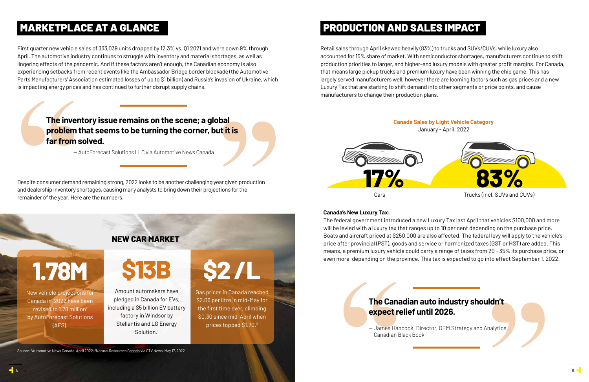## MARKETPLACE AT A GLANCE **External of the SALES PRODUCTION AND SALES IMPACT**

First quarter new vehicle sales of 333,039 units dropped by 12.3% vs. Q1 2021 and were down 9% through April. The automotive industry continues to struggle with inventory and material shortages, as well as lingering effects of the pandemic. And if these factors aren't enough, the Canadian economy is also experiencing setbacks from recent events like the Ambassador Bridge border blockade (the Automotive Parts Manufacturers' Association estimated losses of up to \$1 billion) and Russia's invasion of Ukraine, which is impacting energy prices and has continued to further disrupt supply chains.

Amount automakers have pledged in Canada for EVs, including a \$5 billion EV battery factory in Windsor by Stellantis and LG Energy Solution.<sup>1</sup>

Despite consumer demand remaining strong, 2022 looks to be another challenging year given production and dealership inventory shortages, causing many analysts to bring down their projections for the remainder of the year. Here are the numbers.

## **NEW CAR MARKET**

**1.78M**

New vehicle projections for Canada in 2022 have been revised to 1.78 million<sup>1</sup> by AutoForecast Solutions (AFS).



The Cana<br>
expect re<br>
-James Han<br>
Canadian B **expect relief until 2026.**

**\$2 /L** 

Gas prices in Canada reached \$2.06 per litre in mid-May for the first time ever, climbing \$0.30 since mid-April when prices topped \$1.70.2

Source: 'Automotive News Canada, April 2022, <sup>2</sup>Natural Resources Canada via CTV News, May 17, 2022

ment introduced a new Luxury Tax last April that venicles \$100,000 and rates.<br>
I aluxury tax that ranges up to 10 per cent depending on the purchase price<br>
priced at \$250,000 are also affected. The federal levy will apply The federal government introduced a new Luxury Tax last April that vehicles \$100,000 and more will be levied with a luxury tax that ranges up to 10 per cent depending on the purchase price. Boats and aircraft priced at \$250,000 are also affected. The federal levy will apply to the vehicle's price after provincial (PST), goods and service or harmonized taxes (GST or HST) are added. This means, a premium luxury vehicle could carry a range of taxes from 20 - 35% its purchase price, or even more, depending on the province. This tax is expected to go into effect September 1, 2022.

Retail sales through April skewed heavily (83%) to trucks and SUVs/CUVs, while luxury also accounted for 15% share of market. With semiconductor shortages, manufacturers continue to shift production priorities to larger, and higher-end luxury models with greater profit margins. For Canada, that means large pickup trucks and premium luxury have been winning the chip game. This has largely served manufacturers well, however there are looming factors such as gas prices and a new Luxury Tax that are starting to shift demand into other segments or price points, and cause manufacturers to change their production plans.

## **The inventory issue remains on the scene; a global problem that seems to be turning the corner, but it is far from solved.**

— AutoForecast Solutions LLC via Automotive News Canada



Canadian Black Book

## **Canada's New Luxury Tax:**



Cars Cars Trucks (incl. SUVs and CUVs)

**17%**

**4**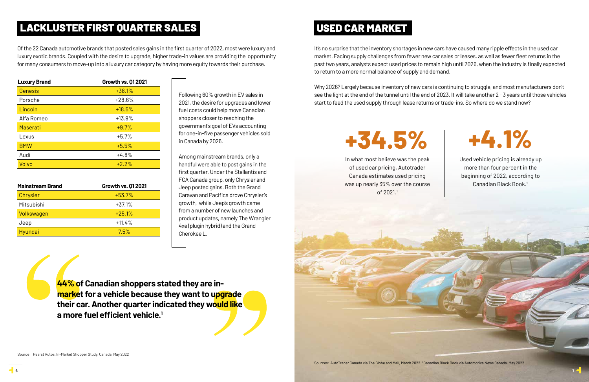It's no surprise that the inventory shortages in new cars have caused many ripple effects in the used car market. Facing supply challenges from fewer new car sales or leases, as well as fewer fleet returns in the past two years, analysts expect used prices to remain high until 2026, when the industry is finally expected to return to a more normal balance of supply and demand.

Why 2026? Largely because inventory of new cars is continuing to struggle, and most manufacturers don't see the light at the end of the tunnel until the end of 2023. It will take another 2 - 3 years until those vehicles start to feed the used supply through lease returns or trade-ins. So where do we stand now?

Following 60% growth in EV sales in 2021, the desire for upgrades and lower fuel costs could help move Canadian shoppers closer to reaching the government's goal of EVs accounting for one-in-five passenger vehicles sold in Canada by 2026.

Among mainstream brands, only a handful were able to post gains in the first quarter. Under the Stellantis and FCA Canada group, only Chrysler and Jeep posted gains. Both the Grand Caravan and Pacifica drove Chrysler's growth, while Jeep's growth came from a number of new launches and product updates, namely The Wrangler 4xe (plugin hybrid) and the Grand Cherokee L.

## LACKLUSTER FIRST QUARTER SALES

| <b>Mainstream Brand</b> | <b>Growth vs. 012021</b> |  |
|-------------------------|--------------------------|--|
| Chrysler                | $+53.7%$                 |  |
| Mitsubishi              | $+37.1%$                 |  |
| Volkswagen              | $+25.1%$                 |  |
| Jeep                    | $+11.4%$                 |  |
| Hyundai                 | 7.5%                     |  |

## USED CAR MARKET

Of the 22 Canada automotive brands that posted sales gains in the first quarter of 2022, most were luxury and luxury exotic brands. Coupled with the desire to upgrade, higher trade-in values are providing the opportunity for many consumers to move-up into a luxury car category by having more equity towards their purchase.

| <b>Luxury Brand</b> | <b>Growth vs. 012021</b> |
|---------------------|--------------------------|
| Genesis             | $+38.1%$                 |
| Porsche             | $+28.6%$                 |
| Lincoln             | $+18.5%$                 |
| Alfa Romeo          | $+13.9%$                 |
| Maserati            | $+9.7%$                  |
| Lexus               | $+5.7%$                  |
| <b>BMW</b>          | $+5.5%$                  |
| Audi                | $+4.8%$                  |
| Volvo               | $+2.2%$                  |

Source: 1 Hearst Autos, In-Market Shopper Study, Canada, May 2022

**44% of Canadian shoppers stated they are inmarket for a vehicle because they want to upgrade their car. Another quarter indicated they would like a more fuel efficient vehicle.<sup>1</sup>**

# **+34.5% +4.1%**

In what most believe was the peak of used car pricing, Autotrader Canada estimates used pricing was up nearly 35% over the course of 2021.1



Used vehicle pricing is already up more than four percent in the beginning of 2022, according to Canadian Black Book.2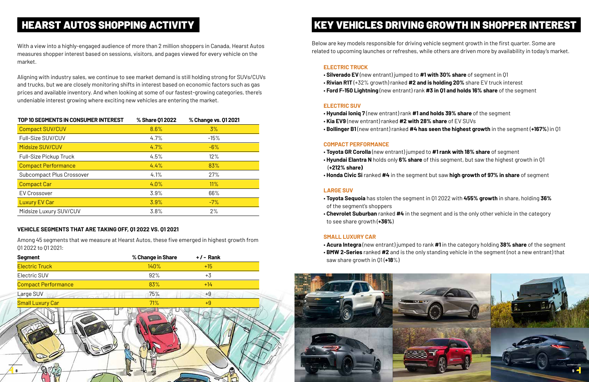

| <b>Segment</b>             | % Change in Share | $+/-$ Rank |  |
|----------------------------|-------------------|------------|--|
| <b>Electric Truck</b>      | 140%              | $+15$      |  |
| Electric SUV               | 92%               | $+3$       |  |
| <b>Compact Performance</b> | 83%               | $+14$      |  |
| Large SUV                  | 75%               | $+9$       |  |
| <b>Small Luxury Car</b>    | 71%               | $+9$       |  |
| 8                          |                   |            |  |

With a view into a highly-engaged audience of more than 2 million shoppers in Canada, Hearst Autos measures shopper interest based on sessions, visitors, and pages viewed for every vehicle on the market.

Aligning with industry sales, we continue to see market demand is still holding strong for SUVs/CUVs and trucks, but we are closely monitoring shifts in interest based on economic factors such as gas prices and available inventory. And when looking at some of our fastest-growing categories, there's undeniable interest growing where exciting new vehicles are entering the market.

#### **ELECTRIC TRUCK**

- **Silverado EV** (new entrant) jumped to **#1 with 30% share** of segment in Q1
- **Rivian R1T** (+32% growth) ranked **#2 and is holding 20%** share EV truck interest
- **Ford F-150 Lightning** (new entrant) rank **#3 in Q1 and holds 16% share** of the segment

#### **ELECTRIC SUV**

- **Hyundai Ioniq 7** (new entrant) rank **#1 and holds 39% share** of the segment
- **Kia EV9** (new entrant) ranked **#2 with 28% share** of EV SUVs
- 

• **Bollinger B1** (new entrant) ranked **#4 has seen the highest growth** in the segment (**+167%**) in Q1

#### **COMPACT PERFORMANCE**

- **Toyota GR Corolla** (new entrant) jumped to **#1 rank with 18% share** of segment
- (**+212% share)**
- 

• **Hyundai Elantra N** holds only **6% share** of this segment, but saw the highest growth in Q1

• **Honda Civic Si** ranked **#4** in the segment but saw **high growth of 97% in share** of segment

### **LARGE SUV**

• **Toyota Sequoia** has stolen the segment in Q1 2022 with **455% growth** in share, holding **36%** 

- of the segment's shoppers
- to see share growth (**+36%**)

• **Chevrolet Suburban** ranked **#4** in the segment and is the only other vehicle in the category

#### **SMALL LUXURY CAR**

• **Acura Integra** (new entrant) jumped to rank **#1** in the category holding **38% share** of the segment • **BMW 2-Series** ranked **#2** and is the only standing vehicle in the segment (not a new entrant) that

- 
- 
- saw share growth in Q1 (**+18**%)

Among 45 segments that we measure at Hearst Autos, these five emerged in highest growth from Q1 2022 to Q1 2021:

#### **VEHICLE SEGMENTS THAT ARE TAKING OFF, Q1 2022 VS. Q1 2021**

## HEARST AUTOS SHOPPING ACTIVITY KEY VEHICLES DRIVING GROWTH IN SHOPPER INTEREST

| TOP 10 SEGMENTS IN CONSUMER INTEREST | % Share 01 2022 | % Change vs. 01 2021 |
|--------------------------------------|-----------------|----------------------|
| <b>Compact SUV/CUV</b>               | 8.6%            | 3%                   |
| Full-Size SUV/CUV                    | 4.7%            | $-15%$               |
| Midsize SUV/CUV                      | 4.7%            | $-6%$                |
| Full-Size Pickup Truck               | 4.5%            | 12%                  |
| <b>Compact Performance</b>           | 4.4%            | 83%                  |
| Subcompact Plus Crossover            | 4.1%            | 27%                  |
| <b>Compact Car</b>                   | 4.0%            | 11%                  |
| <b>EV Crossover</b>                  | 3.9%            | 66%                  |
| <b>Luxury EV Car</b>                 | 3.9%            | $-7%$                |
| Midsize Luxury SUV/CUV               | 3.8%            | 2%                   |

Below are key models responsible for driving vehicle segment growth in the first quarter. Some are related to upcoming launches or refreshes, while others are driven more by availability in today's market.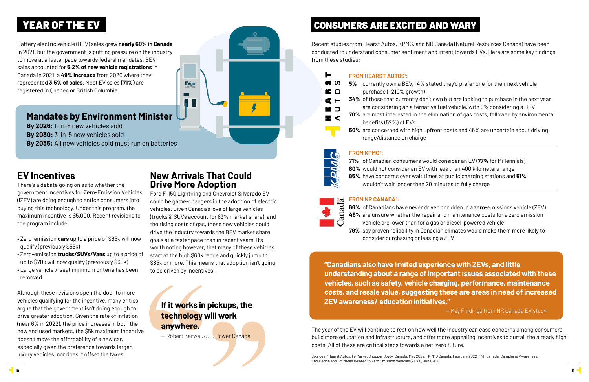Recent studies from Hearst Autos, KPMG, and NR Canada (Natural Resources Canada) have been conducted to understand consumer sentiment and intent towards EVs. Here are some key findings from these studies:

The year of the EV will continue to rest on how well the industry can ease concerns among consumers, build more education and infrastructure, and offer more appealing incentives to curtail the already high costs. All of these are critical steps towards a net-zero future.

- $\Omega$ purchase (+210% growth)  $\Omega$ benefits (52%) of EVs
	-
	- range/distance on charge



H ശ

### **FROM HEARST AUTOS**<sup>1</sup> **:**

**5%** currently own a BEV, 14% stated they'd prefer one for their next vehicle

**34%** of those that currently don't own but are looking to purchase in the next year are considering an alternative fuel vehicle, with 9% considering a BEV **70%** are most interested in the elimination of gas costs, followed by environmental

**50%** are concerned with high upfront costs and 46% are uncertain about driving

## **FROM KPMG**<sup>2</sup> **:**

Sources: 1Hearst Autos, In-Market Shopper Study, Canada, May 2022, <sup>2</sup> KPMG Canada, February 2022, <sup>3</sup> NR Canada, Canadians' Awareness, Knowledge and Attitudes Related to Zero Emission Vehicles (ZEVs), June 2021

**71%** of Canadian consumers would consider an EV (**77%** for Millennials) **80%** would not consider an EV with less than 400 kilometers range **85%** have concerns over wait times at public charging stations and **51%** wouldn't wait longer than 20 minutes to fully charge

## **FROM NR CANADA**<sup>3</sup> **:**



**66%** of Canadians have never driven or ridden in a zero-emissions vehicle (ZEV) **46%** are unsure whether the repair and maintenance costs for a zero emission vehicle are lower than for a gas or diesel-powered vehicle **79%** say proven reliability in Canadian climates would make them more likely to consider purchasing or leasing a ZEV

**"Canadians also have limited experience with ZEVs, and little understanding about a range of important issues associated with these vehicles, such as safety, vehicle charging, performance, maintenance costs, and resale value, suggesting these are areas in need of increased ZEV awareness/ education initiatives."**

— Key Findings from NR Canada EV study

## **If it works in pickups, the technology will work anywhere.**

— Robert Karwel, J.D. Power Canada

# YEAR OF THE EV **THE EVERT AND SERVICE CONSUMERS ARE EXCITED AND WARY**

## **EV Incentives**

There's a debate going on as to whether the government Incentives for Zero-Emission Vehicles (iZEV) are doing enough to entice consumers into buying this technology. Under this program, the maximum incentive is \$5,000. Recent revisions to the program include:

- Zero-emission **cars** up to a price of \$65k will now qualify (previously \$55k)
- Zero-emission **trucks/SUVs/Vans** up to a price of up to \$70k will now qualify (previously \$60k)
- Large vehicle 7-seat minimum criteria has been removed

Although these revisions open the door to more vehicles qualifying for the incentive, many critics argue that the government isn't doing enough to drive greater adoption. Given the rate of inflation (near 6% in 2022), the price increases in both the new and used markets, the \$5k maximum incentive doesn't move the affordability of a new car, especially given the preference towards larger, luxury vehicles, nor does it offset the taxes.

## **New Arrivals That Could Drive More Adoption**

EVgo

▅

Ford F-150 Lightning and Chevrolet Silverado EV could be game-changers in the adoption of electric vehicles. Given Canada's love of large vehicles (trucks & SUVs account for 83% market share), and the rising costs of gas, these new vehicles could drive the industry towards the BEV market share goals at a faster pace than in recent years. It's worth noting however, that many of these vehicles start at the high \$60k range and quickly jump to \$85k or more. This means that adoption isn't going to be driven by incentives.

Battery electric vehicle (BEV) sales grew **nearly 60% in Canada** in 2021, but the government is putting pressure on the industry to move at a faster pace towards federal mandates. BEV sales accounted for **5.2% of new vehicle registrations** in Canada in 2021, a **49% increase** from 2020 where they represented **3.5% of sales**. Most EV sales **(71%)** are registered in Quebec or British Columbia.

## **Mandates by Environment Minister**

- **By 2026**: 1-in-5 new vehicles sold
- **By 2030:** 3-in-5 new vehicles sold
- **By 2035:** All new vehicles sold must run on batteries